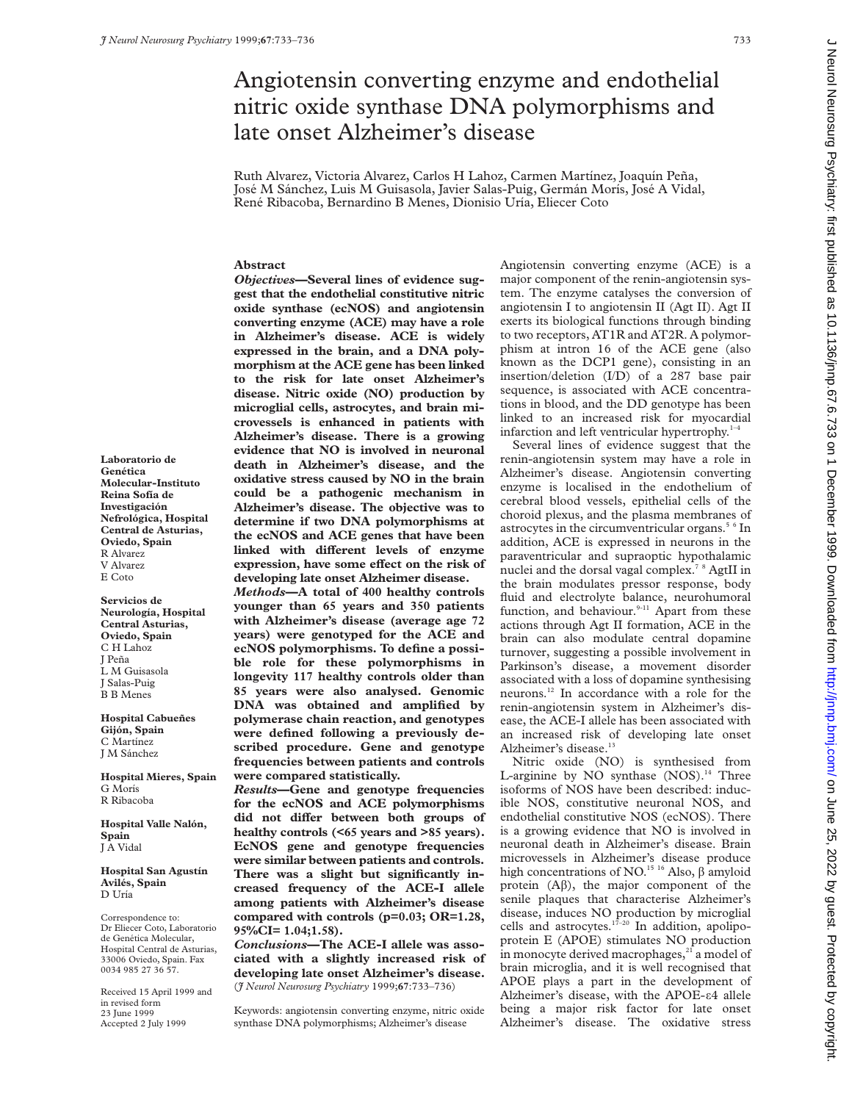# Angiotensin converting enzyme and endothelial nitric oxide synthase DNA polymorphisms and late onset Alzheimer's disease

Ruth Alvarez, Victoria Alvarez, Carlos H Lahoz, Carmen Martínez, Joaquín Peña, José M Sánchez, Luis M Guisasola, Javier Salas-Puig, Germán Morís, José A Vidal, René Ribacoba, Bernardino B Menes, Dionisio Uría, Eliecer Coto

# **Abstract**

*Objectives***—Several lines of evidence suggest that the endothelial constitutive nitric oxide synthase (ecNOS) and angiotensin converting enzyme (ACE) may have a role in Alzheimer's disease. ACE is widely expressed in the brain, and a DNA polymorphism at the ACE gene has been linked to the risk for late onset Alzheimer's disease. Nitric oxide (NO) production by microglial cells, astrocytes, and brain microvessels is enhanced in patients with Alzheimer's disease. There is a growing evidence that NO is involved in neuronal death in Alzheimer's disease, and the oxidative stress caused by NO in the brain could be a pathogenic mechanism in Alzheimer's disease. The objective was to determine if two DNA polymorphisms at the ecNOS and ACE genes that have been** linked with different levels of enzyme expression, have some effect on the risk of **developing late onset Alzheimer disease.**

*Methods***—A total of 400 healthy controls younger than 65 years and 350 patients with Alzheimer's disease (average age 72 years) were genotyped for the ACE and ecNOS polymorphisms. To define a possible role for these polymorphisms in longevity 117 healthy controls older than 85 years were also analysed. Genomic DNA was obtained and amplified by polymerase chain reaction, and genotypes were defined following a previously described procedure. Gene and genotype frequencies between patients and controls were compared statistically.**

*Results***—Gene and genotype frequencies for the ecNOS and ACE polymorphisms** did not differ between both groups of **healthy controls (<65 years and >85 years). EcNOS gene and genotype frequencies were similar between patients and controls. There was a slight but significantly increased frequency of the ACE-I allele among patients with Alzheimer's disease compared with controls (p=0.03; OR=1.28, 95%CI= 1.04;1.58).**

*Conclusions***—The ACE-I allele was associated with a slightly increased risk of developing late onset Alzheimer's disease.** (*J Neurol Neurosurg Psychiatry* 1999;**67**:733–736)

Keywords: angiotensin converting enzyme, nitric oxide synthase DNA polymorphisms; Alzheimer's disease

Angiotensin converting enzyme (ACE) is a major component of the renin-angiotensin system. The enzyme catalyses the conversion of angiotensin I to angiotensin II (Agt II). Agt II exerts its biological functions through binding to two receptors, AT1R and AT2R. A polymorphism at intron 16 of the ACE gene (also known as the DCP1 gene), consisting in an insertion/deletion (I/D) of a 287 base pair sequence, is associated with ACE concentrations in blood, and the DD genotype has been linked to an increased risk for myocardial infarction and left ventricular hypertrophy. $1-4$ 

Several lines of evidence suggest that the renin-angiotensin system may have a role in Alzheimer's disease. Angiotensin converting enzyme is localised in the endothelium of cerebral blood vessels, epithelial cells of the choroid plexus, and the plasma membranes of astrocytes in the circumventricular organs.<sup>5 6</sup> In addition, ACE is expressed in neurons in the paraventricular and supraoptic hypothalamic nuclei and the dorsal vagal complex.<sup>7 8</sup> AgtII in the brain modulates pressor response, body fluid and electrolyte balance, neurohumoral function, and behaviour.<sup>9-11</sup> Apart from these actions through Agt II formation, ACE in the brain can also modulate central dopamine turnover, suggesting a possible involvement in Parkinson's disease, a movement disorder associated with a loss of dopamine synthesising neurons.12 In accordance with a role for the renin-angiotensin system in Alzheimer's disease, the ACE-I allele has been associated with an increased risk of developing late onset Alzheimer's disease.<sup>13</sup>

Nitric oxide (NO) is synthesised from L-arginine by  $NO$  synthase  $(NOS)^{14}$  Three isoforms of NOS have been described: inducible NOS, constitutive neuronal NOS, and endothelial constitutive NOS (ecNOS). There is a growing evidence that NO is involved in neuronal death in Alzheimer's disease. Brain microvessels in Alzheimer's disease produce high concentrations of NO.<sup>15 16</sup> Also,  $\beta$  amyloid protein  $(A\beta)$ , the major component of the senile plaques that characterise Alzheimer's disease, induces NO production by microglial cells and astrocytes. $17-20$  In addition, apolipoprotein E (APOE) stimulates NO production in monocyte derived macrophages,<sup>21</sup> a model of brain microglia, and it is well recognised that APOE plays a part in the development of Alzheimer's disease, with the APOE- $\varepsilon$ 4 allele being a major risk factor for late onset Alzheimer's disease. The oxidative stress

**Laboratorio de Genética Molecular-Instituto Reina Sofía de Investigación Nefrológica, Hospital Central de Asturias, Oviedo, Spain** R Alvarez V Alvarez E Coto

**Servicios de Neurología, Hospital Central Asturias, Oviedo, Spain** C H Lahoz J Peña L M Guisasola J Salas-Puig B B Menes

**Hospital Cabueñes Gijón, Spain** C Martínez J M Sánchez

**Hospital Mieres, Spain** G Morís R Ribacoba

**Hospital Valle Nalón, Spain** J A Vidal

**Hospital San Agustín Avilés, Spain** D Uría

Correspondence to: Dr Eliecer Coto, Laboratorio de Genética Molecular, Hospital Central de Asturias, 33006 Oviedo, Spain. Fax 0034 985 27 36 57.

Received 15 April 1999 and in revised form 23 June 1999 Accepted 2 July 1999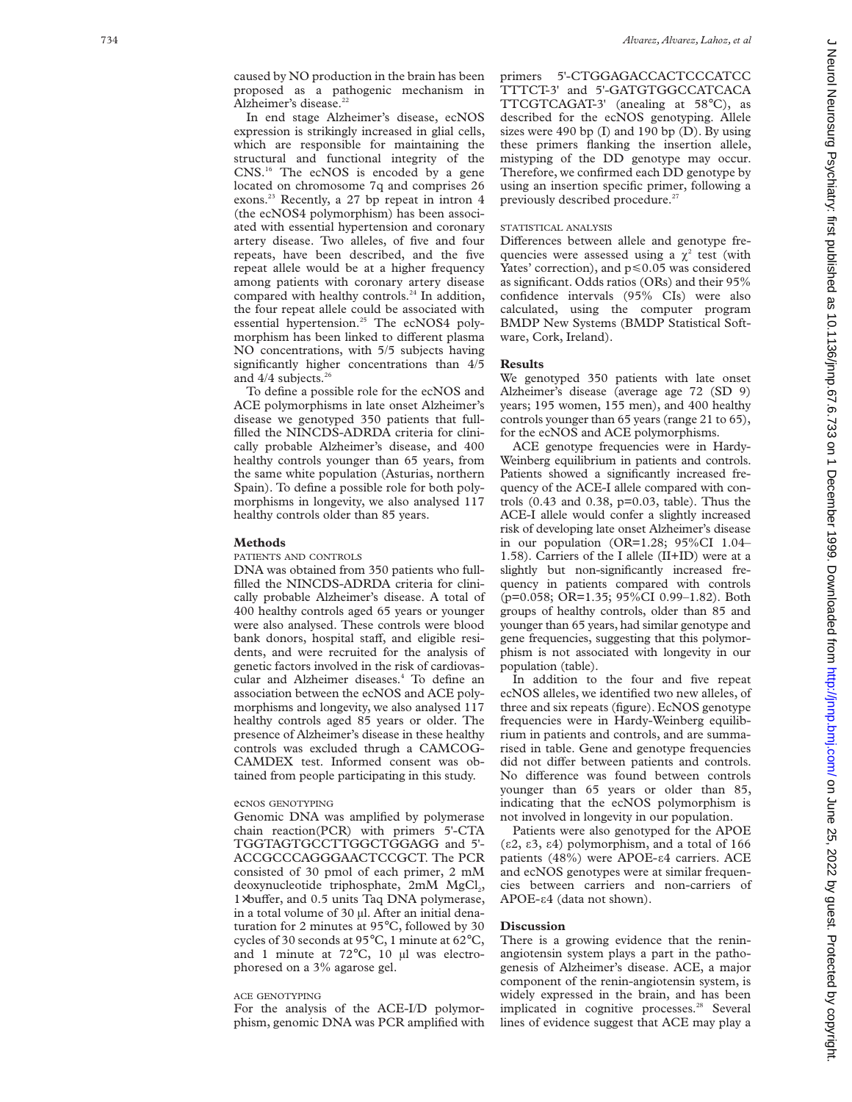caused by NO production in the brain has been proposed as a pathogenic mechanism in Alzheimer's disease.<sup>22</sup>

In end stage Alzheimer's disease, ecNOS expression is strikingly increased in glial cells, which are responsible for maintaining the structural and functional integrity of the CNS.16 The ecNOS is encoded by a gene located on chromosome 7q and comprises 26 exons.<sup>23</sup> Recently, a 27 bp repeat in intron 4 (the ecNOS4 polymorphism) has been associated with essential hypertension and coronary artery disease. Two alleles, of five and four repeats, have been described, and the five repeat allele would be at a higher frequency among patients with coronary artery disease compared with healthy controls.<sup>24</sup> In addition, the four repeat allele could be associated with essential hypertension.<sup>25</sup> The ecNOS4 polymorphism has been linked to different plasma NO concentrations, with 5/5 subjects having significantly higher concentrations than 4/5 and  $4/4$  subjects.<sup>26</sup>

To define a possible role for the ecNOS and ACE polymorphisms in late onset Alzheimer's disease we genotyped 350 patients that fullfilled the NINCDS-ADRDA criteria for clinically probable Alzheimer's disease, and 400 healthy controls younger than 65 years, from the same white population (Asturias, northern Spain). To define a possible role for both polymorphisms in longevity, we also analysed 117 healthy controls older than 85 years.

### **Methods**

PATIENTS AND CONTROLS

DNA was obtained from 350 patients who fullfilled the NINCDS-ADRDA criteria for clinically probable Alzheimer's disease. A total of 400 healthy controls aged 65 years or younger were also analysed. These controls were blood bank donors, hospital staff, and eligible residents, and were recruited for the analysis of genetic factors involved in the risk of cardiovascular and Alzheimer diseases.<sup>4</sup> To define an association between the ecNOS and ACE polymorphisms and longevity, we also analysed 117 healthy controls aged 85 years or older. The presence of Alzheimer's disease in these healthy controls was excluded thrugh a CAMCOG-CAMDEX test. Informed consent was obtained from people participating in this study.

# ecNOS GENOTYPING

Genomic DNA was amplified by polymerase chain reaction(PCR) with primers 5'-CTA TGGTAGTGCCTTGGCTGGAGG and 5'- ACCGCCCAGGGAACTCCGCT. The PCR consisted of 30 pmol of each primer, 2 mM deoxynucleotide triphosphate, 2mM MgCl<sub>2</sub>, 1×buffer, and 0.5 units Taq DNA polymerase, in a total volume of 30 µl. After an initial denaturation for 2 minutes at 95°C, followed by 30 cycles of 30 seconds at 95°C, 1 minute at 62°C, and 1 minute at 72°C, 10 µl was electrophoresed on a 3% agarose gel.

## ACE GENOTYPING

For the analysis of the ACE-I/D polymorphism, genomic DNA was PCR amplified with primers 5'-CTGGAGACCACTCCCATCC TTTCT-3' and 5'-GATGTGGCCATCACA TTCGTCAGAT-3' (anealing at 58 °C), as described for the ecNOS genotyping. Allele sizes were 490 bp  $(I)$  and 190 bp  $(D)$ . By using these primers flanking the insertion allele, mistyping of the DD genotype may occur. Therefore, we confirmed each DD genotype by using an insertion specific primer, following a previously described procedure.<sup>27</sup>

# STATISTICAL ANALYSIS

Differences between allele and genotype frequencies were assessed using a  $\chi^2$  test (with Yates' correction), and p <0.05 was considered as significant. Odds ratios (ORs) and their 95% confidence intervals (95% CIs) were also calculated, using the computer program BMDP New Systems (BMDP Statistical Software, Cork, Ireland).

# **Results**

We genotyped 350 patients with late onset Alzheimer's disease (average age 72 (SD 9) years; 195 women, 155 men), and 400 healthy controls younger than 65 years (range 21 to 65), for the ecNOS and ACE polymorphisms.

ACE genotype frequencies were in Hardy-Weinberg equilibrium in patients and controls. Patients showed a significantly increased frequency of the ACE-I allele compared with controls (0.43 and 0.38, p=0.03, table). Thus the ACE-I allele would confer a slightly increased risk of developing late onset Alzheimer's disease in our population (OR=1.28; 95%CI 1.04– 1.58). Carriers of the I allele (II+ID) were at a slightly but non-significantly increased frequency in patients compared with controls (p=0.058; OR=1.35; 95%CI 0.99–1.82). Both groups of healthy controls, older than 85 and younger than 65 years, had similar genotype and gene frequencies, suggesting that this polymorphism is not associated with longevity in our population (table).

In addition to the four and five repeat ecNOS alleles, we identified two new alleles, of three and six repeats (figure). EcNOS genotype frequencies were in Hardy-Weinberg equilibrium in patients and controls, and are summarised in table. Gene and genotype frequencies did not differ between patients and controls. No difference was found between controls younger than 65 years or older than 85, indicating that the ecNOS polymorphism is not involved in longevity in our population.

Patients were also genotyped for the APOE ( å2, å3, å4) polymorphism, and a total of 166 patients (48%) were APOE-84 carriers. ACE and ecNOS genotypes were at similar frequencies between carriers and non-carriers of APOE- $\varepsilon$ 4 (data not shown).

#### **Discussion**

There is a growing evidence that the reninangiotensin system plays a part in the pathogenesis of Alzheimer's disease. ACE, a major component of the renin-angiotensin system, is widely expressed in the brain, and has been implicated in cognitive processes.<sup>28</sup> Several lines of evidence suggest that ACE may play a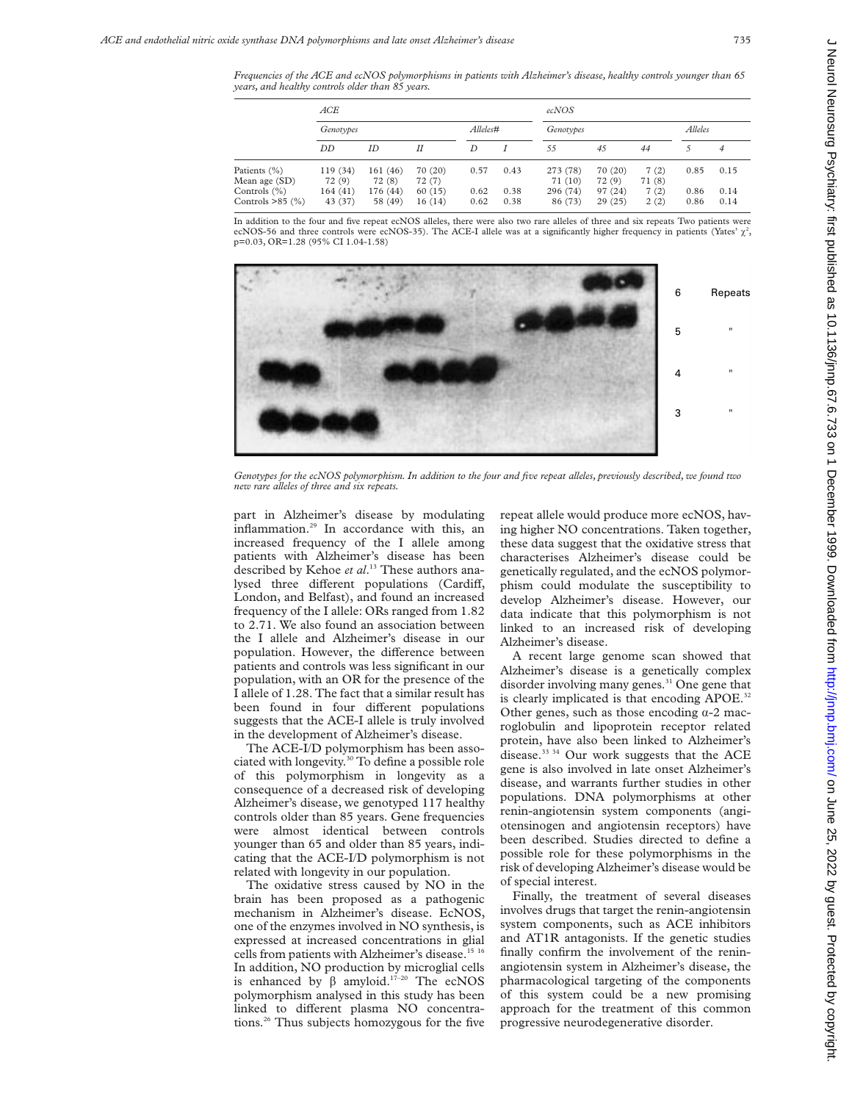*Frequencies of the ACE and ecNOS polymorphisms in patients with Alzheimer's disease, healthy controls younger than 65 years, and healthy controls older than 85 years.*

|                                       | ACE                |                     |                  |              |              | ecNOS               |                   |                |              |              |
|---------------------------------------|--------------------|---------------------|------------------|--------------|--------------|---------------------|-------------------|----------------|--------------|--------------|
|                                       | Genotypes          |                     |                  | Alleles#     |              | Genotypes           |                   |                | Alleles      |              |
|                                       | DD                 | ID                  | Н                | D            |              | 55                  | 45                | 44             |              | 4            |
| Patients (%)<br>Mean age (SD)         | 119(34)<br>72(9)   | 161(46)<br>72(8)    | 70 (20)<br>72(7) | 0.57         | 0.43         | 273 (78)<br>71(10)  | 70 (20)<br>72(9)  | 7(2)<br>71 (8) | 0.85         | 0.15         |
| Controls $(\%)$<br>Controls $>85$ (%) | 164(41)<br>43 (37) | 176 (44)<br>58 (49) | 60(15)<br>16(14) | 0.62<br>0.62 | 0.38<br>0.38 | 296 (74)<br>86 (73) | 97 (24)<br>29(25) | 7(2)<br>2(2)   | 0.86<br>0.86 | 0.14<br>0.14 |

In addition to the four and five repeat ecNOS alleles, there were also two rare alleles of three and six repeats Two patients were ecNOS-56 and three controls were ecNOS-35). The ACE-I allele was at a significantly higher frequency in patients (Yates'  $\chi^2$ , p=0.03, OR=1.28 (95% CI 1.04-1.58)



*Genotypes for the ecNOS polymorphism. In addition to the four and five repeat alleles, previously described, we found two new rare alleles of three and six repeats.*

part in Alzheimer's disease by modulating inflammation.29 In accordance with this, an increased frequency of the I allele among patients with Alzheimer's disease has been described by Kehoe *et al*. <sup>13</sup> These authors analysed three different populations (Cardiff, London, and Belfast), and found an increased frequency of the I allele: ORs ranged from 1.82 to 2.71. We also found an association between the I allele and Alzheimer's disease in our population. However, the difference between patients and controls was less significant in our population, with an OR for the presence of the I allele of 1.28. The fact that a similar result has been found in four different populations suggests that the ACE-I allele is truly involved in the development of Alzheimer's disease.

The ACE-I/D polymorphism has been associated with longevity.30 To define a possible role of this polymorphism in longevity as a consequence of a decreased risk of developing Alzheimer's disease, we genotyped 117 healthy controls older than 85 years. Gene frequencies were almost identical between controls younger than 65 and older than 85 years, indicating that the ACE-I/D polymorphism is not related with longevity in our population.

The oxidative stress caused by NO in the brain has been proposed as a pathogenic mechanism in Alzheimer's disease. EcNOS, one of the enzymes involved in NO synthesis, is expressed at increased concentrations in glial cells from patients with Alzheimer's disease.<sup>15 16</sup> In addition, NO production by microglial cells is enhanced by  $\beta$  amyloid.<sup>17-20</sup> The ecNOS polymorphism analysed in this study has been linked to different plasma NO concentrations.26 Thus subjects homozygous for the five repeat allele would produce more ecNOS, having higher NO concentrations. Taken together, these data suggest that the oxidative stress that characterises Alzheimer's disease could be genetically regulated, and the ecNOS polymorphism could modulate the susceptibility to develop Alzheimer's disease. However, our data indicate that this polymorphism is not linked to an increased risk of developing Alzheimer's disease.

A recent large genome scan showed that Alzheimer's disease is a genetically complex disorder involving many genes.<sup>31</sup> One gene that is clearly implicated is that encoding APOE.<sup>32</sup> Other genes, such as those encoding  $\alpha$ -2 macroglobulin and lipoprotein receptor related protein, have also been linked to Alzheimer's disease.33 34 Our work suggests that the ACE gene is also involved in late onset Alzheimer's disease, and warrants further studies in other populations. DNA polymorphisms at other renin-angiotensin system components (angiotensinogen and angiotensin receptors) have been described. Studies directed to define a possible role for these polymorphisms in the risk of developing Alzheimer's disease would be of special interest.

Finally, the treatment of several diseases involves drugs that target the renin-angiotensin system components, such as ACE inhibitors and AT1R antagonists. If the genetic studies finally confirm the involvement of the reninangiotensin system in Alzheimer's disease, the pharmacological targeting of the components of this system could be a new promising approach for the treatment of this common progressive neurodegenerative disorder.